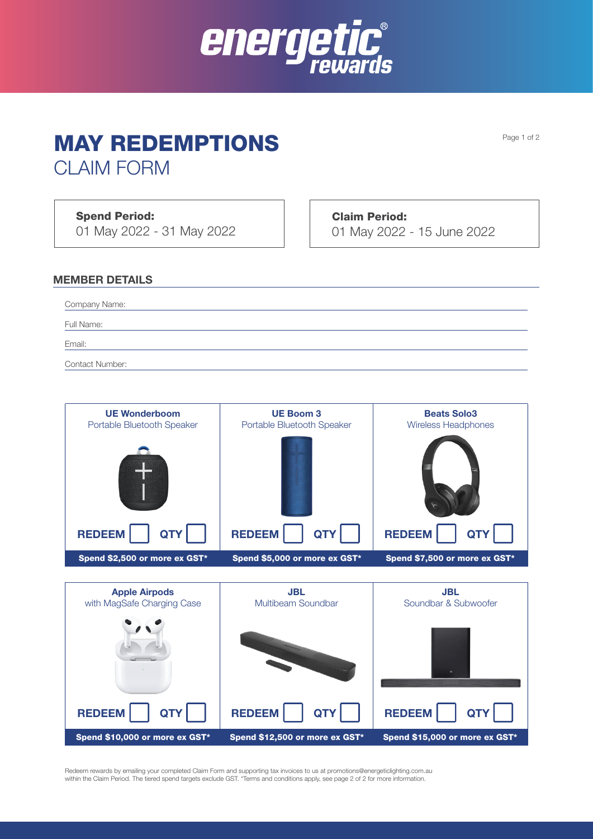

# MAY REDEMPTIONS

CLAIM FORM

Spend Period:

01 May 2022 - 31 May 2022

Claim Period: 01 May 2022 - 15 June 2022

#### MEMBER DETAILS

Company Name:

Full Name:

Email:

Contact Number:

| <b>UE Wonderboom</b><br>Portable Bluetooth Speaker | <b>UE Boom 3</b><br>Portable Bluetooth Speaker | <b>Beats Solo3</b><br><b>Wireless Headphones</b> |
|----------------------------------------------------|------------------------------------------------|--------------------------------------------------|
|                                                    |                                                |                                                  |
| <b>REDEEM</b>                                      | <b>REDEEM</b>                                  | <b>REDEEM</b>                                    |
| Spend \$2,500 or more ex GST*                      | Spend \$5,000 or more ex GST*                  | Spend \$7,500 or more ex GST*                    |



Redeem rewards by emailing your completed Claim Form and supporting tax invoices to us at promotions@energeticlighting.com.au within the Claim Period. The tiered spend targets exclude GST. \*Terms and conditions apply, see page 2 of 2 for more information.

Page 1 of 2